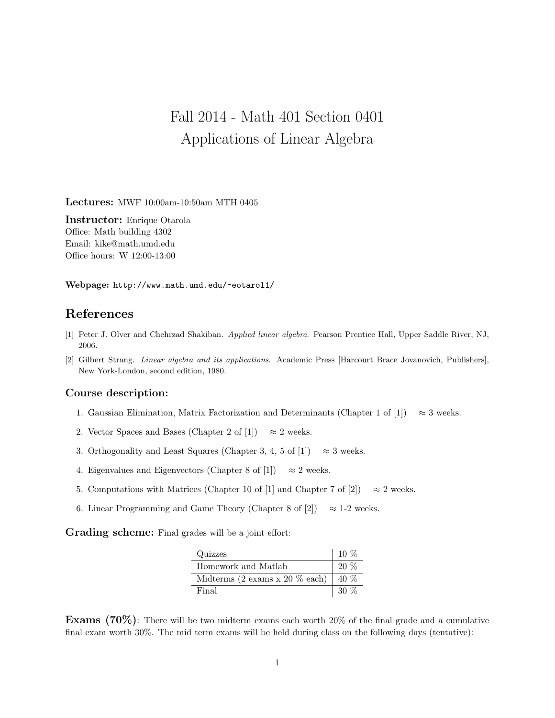## Fall 2014 - Math 401 Section 0401 Applications of Linear Algebra

Lectures: MWF 10:00am-10:50am MTH 0405

Instructor: Enrique Otarola Office: Math building 4302 Email: kike@math.umd.edu Office hours: W 12:00-13:00

Webpage: http://www.math.umd.edu/~eotarol1/

## References

- [1] Peter J. Olver and Chehrzad Shakiban. Applied linear algebra. Pearson Prentice Hall, Upper Saddle River, NJ, 2006.
- [2] Gilbert Strang. Linear algebra and its applications. Academic Press [Harcourt Brace Jovanovich, Publishers], New York-London, second edition, 1980.

## Course description:

- 1. Gaussian Elimination, Matrix Factorization and Determinants (Chapter 1 of [1])  $\approx 3$  weeks.
- 2. Vector Spaces and Bases (Chapter 2 of [1])  $\approx$  2 weeks.
- 3. Orthogonality and Least Squares (Chapter 3, 4, 5 of [1])  $\approx$  3 weeks.
- 4. Eigenvalues and Eigenvectors (Chapter 8 of [1])  $\approx 2$  weeks.
- 5. Computations with Matrices (Chapter 10 of [1] and Chapter 7 of [2])  $\approx 2$  weeks.
- 6. Linear Programming and Game Theory (Chapter 8 of [2])  $\approx$  1-2 weeks.

Grading scheme: Final grades will be a joint effort:

| Quizzes                                    | $10\%$ |
|--------------------------------------------|--------|
| Homework and Matlab                        | $20\%$ |
| Midterms $(2 \text{ exams } x 20 \%$ each) | $40\%$ |
| Final                                      | $30\%$ |

**Exams** (70%): There will be two midterm exams each worth 20% of the final grade and a cumulative final exam worth 30%. The mid term exams will be held during class on the following days (tentative):